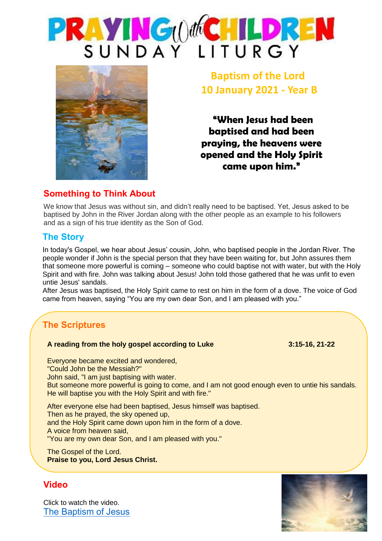



**Baptism of the Lord 10 January 2021 - Year B**

**"When Jesus had been baptised and had been praying, the heavens were opened and the Holy Spirit came upon him."**

#### **Something to Think About**

We know that Jesus was without sin, and didn't really need to be baptised. Yet, Jesus asked to be baptised by John in the River Jordan along with the other people as an example to his followers and as a sign of his true identity as the Son of God.

#### **The Story**

In today's Gospel, we hear about Jesus' cousin, John, who baptised people in the Jordan River. The people wonder if John is the special person that they have been waiting for, but John assures them that someone more powerful is coming – someone who could baptise not with water, but with the Holy Spirit and with fire. John was talking about Jesus! John told those gathered that he was unfit to even untie Jesus' sandals.

After Jesus was baptised, the Holy Spirit came to rest on him in the form of a dove. The voice of God came from heaven, saying "You are my own dear Son, and I am pleased with you."

# **The Scriptures**

#### **A reading from the holy gospel according to Luke 3:15-16, 21-22**

Everyone became excited and wondered, "Could John be the Messiah?" John said, "I am just baptising with water. But someone more powerful is going to come, and I am not good enough even to untie his sandals. He will baptise you with the Holy Spirit and with fire."

After everyone else had been baptised, Jesus himself was baptised. Then as he prayed, the sky opened up, and the Holy Spirit came down upon him in the form of a dove. A voice from heaven said, "You are my own dear Son, and I am pleased with you."

The Gospel of the Lord. **Praise to you, Lord Jesus Christ.**

#### **Video**

Click to watch the video. [The Baptism of Jesus](https://www.youtube.com/watch?v=oGMCA_aUY4c)

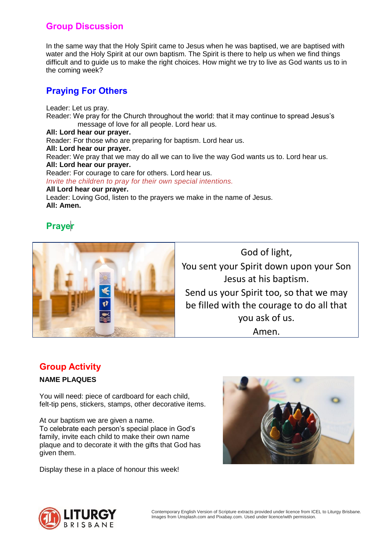### **Group Discussion**

In the same way that the Holy Spirit came to Jesus when he was baptised, we are baptised with water and the Holy Spirit at our own baptism. The Spirit is there to help us when we find things difficult and to guide us to make the right choices. How might we try to live as God wants us to in the coming week?

### **Praying For Others**

Leader: Let us pray. Reader: We pray for the Church throughout the world: that it may continue to spread Jesus's message of love for all people. Lord hear us. **All: Lord hear our prayer.** Reader: For those who are preparing for baptism. Lord hear us. **All: Lord hear our prayer.** Reader: We pray that we may do all we can to live the way God wants us to. Lord hear us. **All: Lord hear our prayer.** Reader: For courage to care for others. Lord hear us. *Invite the children to pray for their own special intentions.* **All Lord hear our prayer.** Leader: Loving God, listen to the prayers we make in the name of Jesus. **All: Amen.**

## **Prayer**



God of light, You sent your Spirit down upon your Son Jesus at his baptism. Send us your Spirit too, so that we may be filled with the courage to do all that you ask of us. Amen.

#### **Group Activity**

#### **NAME PLAQUES**

You will need: piece of cardboard for each child, felt-tip pens, stickers, stamps, other decorative items.

At our baptism we are given a name. To celebrate each person's special place in God's family, invite each child to make their own name plaque and to decorate it with the gifts that God has given them.

Display these in a place of honour this week!